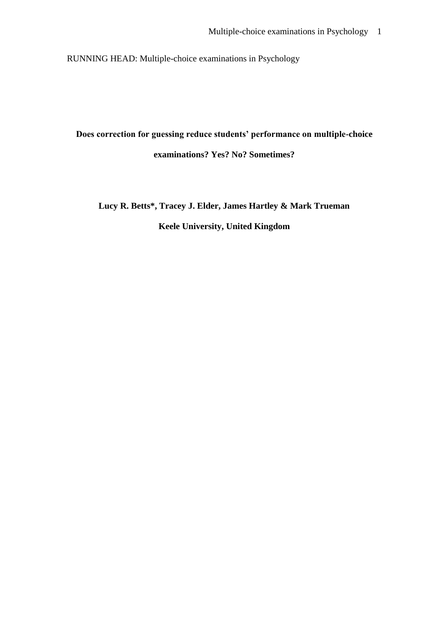RUNNING HEAD: Multiple-choice examinations in Psychology

**Does correction for guessing reduce students' performance on multiple-choice examinations? Yes? No? Sometimes?**

**Lucy R. Betts\*, Tracey J. Elder, James Hartley & Mark Trueman Keele University, United Kingdom**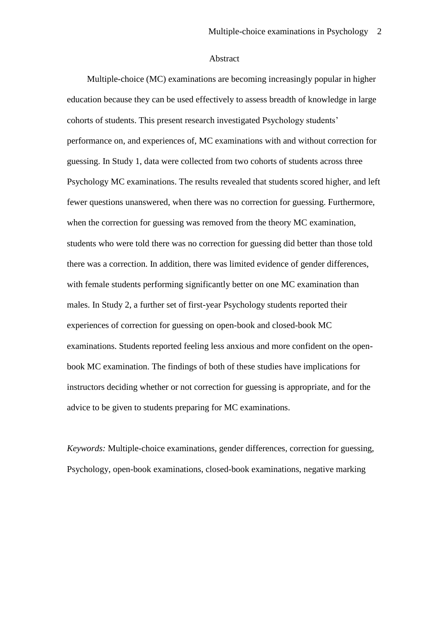#### Abstract

Multiple-choice (MC) examinations are becoming increasingly popular in higher education because they can be used effectively to assess breadth of knowledge in large cohorts of students. This present research investigated Psychology students' performance on, and experiences of, MC examinations with and without correction for guessing. In Study 1, data were collected from two cohorts of students across three Psychology MC examinations. The results revealed that students scored higher, and left fewer questions unanswered, when there was no correction for guessing. Furthermore, when the correction for guessing was removed from the theory MC examination, students who were told there was no correction for guessing did better than those told there was a correction. In addition, there was limited evidence of gender differences, with female students performing significantly better on one MC examination than males. In Study 2, a further set of first-year Psychology students reported their experiences of correction for guessing on open-book and closed-book MC examinations. Students reported feeling less anxious and more confident on the openbook MC examination. The findings of both of these studies have implications for instructors deciding whether or not correction for guessing is appropriate, and for the advice to be given to students preparing for MC examinations.

*Keywords:* Multiple-choice examinations, gender differences, correction for guessing, Psychology, open-book examinations, closed-book examinations, negative marking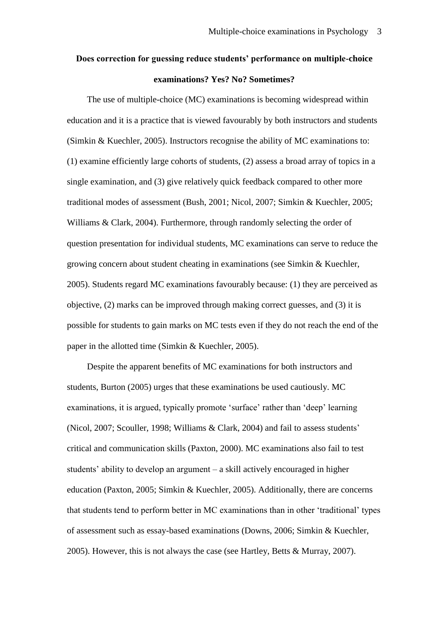# **Does correction for guessing reduce students' performance on multiple-choice examinations? Yes? No? Sometimes?**

The use of multiple-choice (MC) examinations is becoming widespread within education and it is a practice that is viewed favourably by both instructors and students (Simkin & Kuechler, 2005). Instructors recognise the ability of MC examinations to: (1) examine efficiently large cohorts of students, (2) assess a broad array of topics in a single examination, and (3) give relatively quick feedback compared to other more traditional modes of assessment (Bush, 2001; Nicol, 2007; Simkin & Kuechler, 2005; Williams & Clark, 2004). Furthermore, through randomly selecting the order of question presentation for individual students, MC examinations can serve to reduce the growing concern about student cheating in examinations (see Simkin & Kuechler, 2005). Students regard MC examinations favourably because: (1) they are perceived as objective, (2) marks can be improved through making correct guesses, and (3) it is possible for students to gain marks on MC tests even if they do not reach the end of the paper in the allotted time (Simkin & Kuechler, 2005).

Despite the apparent benefits of MC examinations for both instructors and students, Burton (2005) urges that these examinations be used cautiously. MC examinations, it is argued, typically promote 'surface' rather than 'deep' learning (Nicol, 2007; Scouller, 1998; Williams & Clark, 2004) and fail to assess students' critical and communication skills (Paxton, 2000). MC examinations also fail to test students' ability to develop an argument – a skill actively encouraged in higher education (Paxton, 2005; Simkin & Kuechler, 2005). Additionally, there are concerns that students tend to perform better in MC examinations than in other 'traditional' types of assessment such as essay-based examinations (Downs, 2006; Simkin & Kuechler, 2005). However, this is not always the case (see Hartley, Betts & Murray, 2007).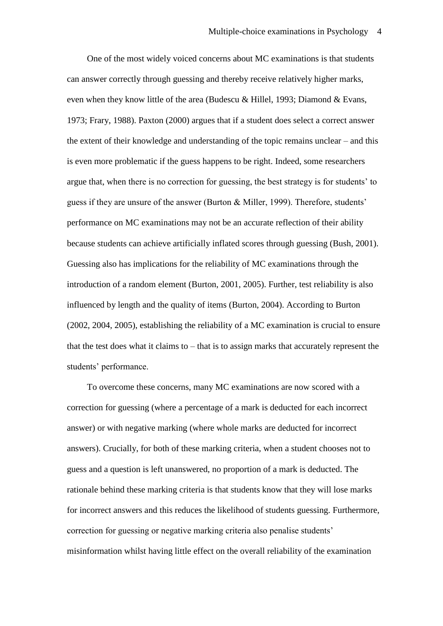One of the most widely voiced concerns about MC examinations is that students can answer correctly through guessing and thereby receive relatively higher marks, even when they know little of the area (Budescu & Hillel, 1993; Diamond & Evans, 1973; Frary, 1988). Paxton (2000) argues that if a student does select a correct answer the extent of their knowledge and understanding of the topic remains unclear – and this is even more problematic if the guess happens to be right. Indeed, some researchers argue that, when there is no correction for guessing, the best strategy is for students' to guess if they are unsure of the answer (Burton & Miller, 1999). Therefore, students' performance on MC examinations may not be an accurate reflection of their ability because students can achieve artificially inflated scores through guessing (Bush, 2001). Guessing also has implications for the reliability of MC examinations through the introduction of a random element (Burton, 2001, 2005). Further, test reliability is also influenced by length and the quality of items (Burton, 2004). According to Burton (2002, 2004, 2005), establishing the reliability of a MC examination is crucial to ensure that the test does what it claims to – that is to assign marks that accurately represent the students' performance.

To overcome these concerns, many MC examinations are now scored with a correction for guessing (where a percentage of a mark is deducted for each incorrect answer) or with negative marking (where whole marks are deducted for incorrect answers). Crucially, for both of these marking criteria, when a student chooses not to guess and a question is left unanswered, no proportion of a mark is deducted. The rationale behind these marking criteria is that students know that they will lose marks for incorrect answers and this reduces the likelihood of students guessing. Furthermore, correction for guessing or negative marking criteria also penalise students' misinformation whilst having little effect on the overall reliability of the examination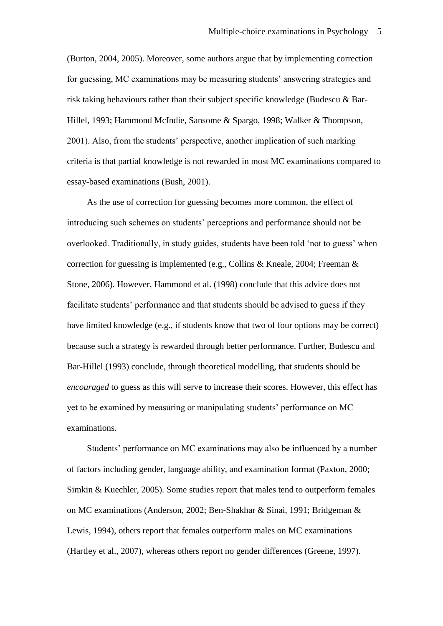(Burton, 2004, 2005). Moreover, some authors argue that by implementing correction for guessing, MC examinations may be measuring students' answering strategies and risk taking behaviours rather than their subject specific knowledge (Budescu & Bar-Hillel, 1993; Hammond McIndie, Sansome & Spargo, 1998; Walker & Thompson, 2001). Also, from the students' perspective, another implication of such marking criteria is that partial knowledge is not rewarded in most MC examinations compared to essay-based examinations (Bush, 2001).

As the use of correction for guessing becomes more common, the effect of introducing such schemes on students' perceptions and performance should not be overlooked. Traditionally, in study guides, students have been told 'not to guess' when correction for guessing is implemented (e.g., Collins & Kneale, 2004; Freeman & Stone, 2006). However, Hammond et al. (1998) conclude that this advice does not facilitate students' performance and that students should be advised to guess if they have limited knowledge (e.g., if students know that two of four options may be correct) because such a strategy is rewarded through better performance. Further, Budescu and Bar-Hillel (1993) conclude, through theoretical modelling, that students should be *encouraged* to guess as this will serve to increase their scores. However, this effect has yet to be examined by measuring or manipulating students' performance on MC examinations.

Students' performance on MC examinations may also be influenced by a number of factors including gender, language ability, and examination format (Paxton, 2000; Simkin & Kuechler, 2005). Some studies report that males tend to outperform females on MC examinations (Anderson, 2002; Ben-Shakhar & Sinai, 1991; Bridgeman & Lewis, 1994), others report that females outperform males on MC examinations (Hartley et al., 2007), whereas others report no gender differences (Greene, 1997).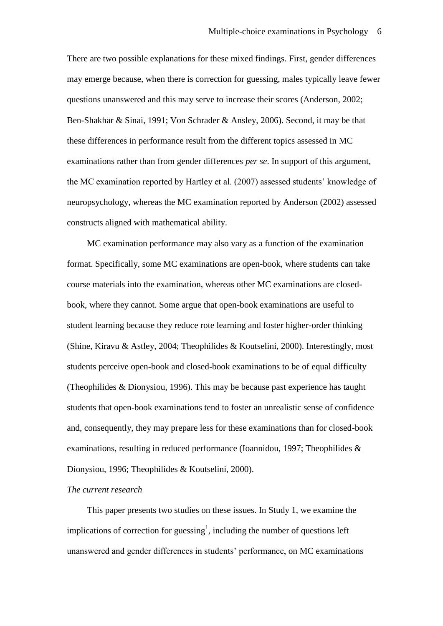There are two possible explanations for these mixed findings. First, gender differences may emerge because, when there is correction for guessing, males typically leave fewer questions unanswered and this may serve to increase their scores (Anderson, 2002; Ben-Shakhar & Sinai, 1991; Von Schrader & Ansley, 2006). Second, it may be that these differences in performance result from the different topics assessed in MC examinations rather than from gender differences *per se*. In support of this argument, the MC examination reported by Hartley et al. (2007) assessed students' knowledge of neuropsychology, whereas the MC examination reported by Anderson (2002) assessed constructs aligned with mathematical ability.

MC examination performance may also vary as a function of the examination format. Specifically, some MC examinations are open-book, where students can take course materials into the examination, whereas other MC examinations are closedbook, where they cannot. Some argue that open-book examinations are useful to student learning because they reduce rote learning and foster higher-order thinking (Shine, Kiravu & Astley, 2004; Theophilides & Koutselini, 2000). Interestingly, most students perceive open-book and closed-book examinations to be of equal difficulty (Theophilides & Dionysiou, 1996). This may be because past experience has taught students that open-book examinations tend to foster an unrealistic sense of confidence and, consequently, they may prepare less for these examinations than for closed-book examinations, resulting in reduced performance (Ioannidou, 1997; Theophilides & Dionysiou, 1996; Theophilides & Koutselini, 2000).

#### *The current research*

This paper presents two studies on these issues. In Study 1, we examine the implications of correction for guessing<sup>1</sup>, including the number of questions left unanswered and gender differences in students' performance, on MC examinations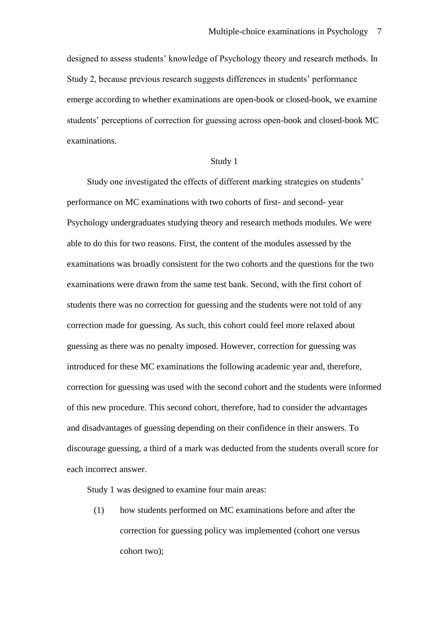designed to assess students' knowledge of Psychology theory and research methods. In Study 2, because previous research suggests differences in students' performance emerge according to whether examinations are open-book or closed-book, we examine students' perceptions of correction for guessing across open-book and closed-book MC examinations.

### Study 1

Study one investigated the effects of different marking strategies on students' performance on MC examinations with two cohorts of first- and second- year Psychology undergraduates studying theory and research methods modules. We were able to do this for two reasons. First, the content of the modules assessed by the examinations was broadly consistent for the two cohorts and the questions for the two examinations were drawn from the same test bank. Second, with the first cohort of students there was no correction for guessing and the students were not told of any correction made for guessing. As such, this cohort could feel more relaxed about guessing as there was no penalty imposed. However, correction for guessing was introduced for these MC examinations the following academic year and, therefore, correction for guessing was used with the second cohort and the students were informed of this new procedure. This second cohort, therefore, had to consider the advantages and disadvantages of guessing depending on their confidence in their answers. To discourage guessing, a third of a mark was deducted from the students overall score for each incorrect answer.

Study 1 was designed to examine four main areas:

(1) how students performed on MC examinations before and after the correction for guessing policy was implemented (cohort one versus cohort two);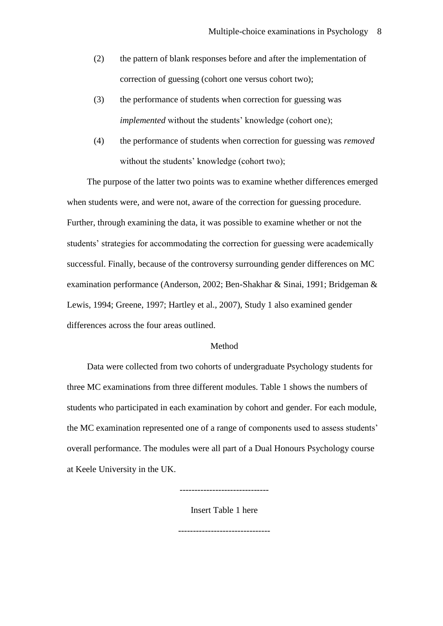- (2) the pattern of blank responses before and after the implementation of correction of guessing (cohort one versus cohort two);
- (3) the performance of students when correction for guessing was *implemented* without the students' knowledge (cohort one);
- (4) the performance of students when correction for guessing was *removed* without the students' knowledge (cohort two);

The purpose of the latter two points was to examine whether differences emerged when students were, and were not, aware of the correction for guessing procedure. Further, through examining the data, it was possible to examine whether or not the students' strategies for accommodating the correction for guessing were academically successful. Finally, because of the controversy surrounding gender differences on MC examination performance (Anderson, 2002; Ben-Shakhar & Sinai, 1991; Bridgeman & Lewis, 1994; Greene, 1997; Hartley et al., 2007), Study 1 also examined gender differences across the four areas outlined.

## Method

Data were collected from two cohorts of undergraduate Psychology students for three MC examinations from three different modules. Table 1 shows the numbers of students who participated in each examination by cohort and gender. For each module, the MC examination represented one of a range of components used to assess students' overall performance. The modules were all part of a Dual Honours Psychology course at Keele University in the UK.

------------------------------

Insert Table 1 here

-------------------------------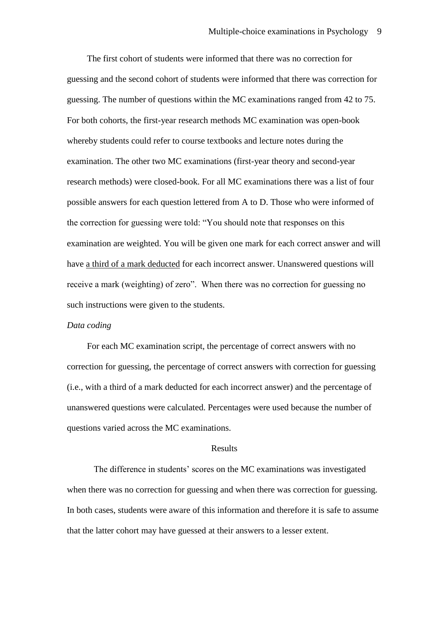The first cohort of students were informed that there was no correction for guessing and the second cohort of students were informed that there was correction for guessing. The number of questions within the MC examinations ranged from 42 to 75. For both cohorts, the first-year research methods MC examination was open-book whereby students could refer to course textbooks and lecture notes during the examination. The other two MC examinations (first-year theory and second-year research methods) were closed-book. For all MC examinations there was a list of four possible answers for each question lettered from A to D. Those who were informed of the correction for guessing were told: "You should note that responses on this examination are weighted. You will be given one mark for each correct answer and will have a third of a mark deducted for each incorrect answer. Unanswered questions will receive a mark (weighting) of zero". When there was no correction for guessing no such instructions were given to the students.

#### *Data coding*

For each MC examination script, the percentage of correct answers with no correction for guessing, the percentage of correct answers with correction for guessing (i.e., with a third of a mark deducted for each incorrect answer) and the percentage of unanswered questions were calculated. Percentages were used because the number of questions varied across the MC examinations.

#### Results

The difference in students' scores on the MC examinations was investigated when there was no correction for guessing and when there was correction for guessing. In both cases, students were aware of this information and therefore it is safe to assume that the latter cohort may have guessed at their answers to a lesser extent.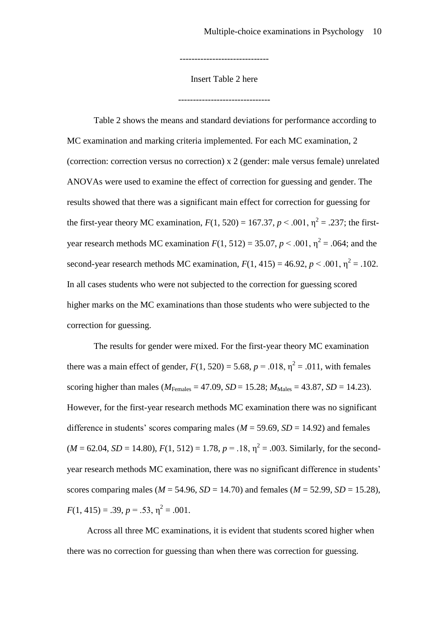Insert Table 2 here

-------------------------------

------------------------------

Table 2 shows the means and standard deviations for performance according to MC examination and marking criteria implemented. For each MC examination, 2 (correction: correction versus no correction) x 2 (gender: male versus female) unrelated ANOVAs were used to examine the effect of correction for guessing and gender. The results showed that there was a significant main effect for correction for guessing for the first-year theory MC examination,  $F(1, 520) = 167.37, p < .001, \eta^2 = .237$ ; the firstyear research methods MC examination  $F(1, 512) = 35.07$ ,  $p < .001$ ,  $\eta^2 = .064$ ; and the second-year research methods MC examination,  $F(1, 415) = 46.92$ ,  $p < .001$ ,  $\eta^2 = .102$ . In all cases students who were not subjected to the correction for guessing scored higher marks on the MC examinations than those students who were subjected to the correction for guessing.

The results for gender were mixed. For the first-year theory MC examination there was a main effect of gender,  $F(1, 520) = 5.68$ ,  $p = .018$ ,  $\eta^2 = .011$ , with females scoring higher than males ( $M_{\text{Females}} = 47.09$ ,  $SD = 15.28$ ;  $M_{\text{Males}} = 43.87$ ,  $SD = 14.23$ ). However, for the first-year research methods MC examination there was no significant difference in students' scores comparing males ( $M = 59.69$ ,  $SD = 14.92$ ) and females  $(M = 62.04, SD = 14.80), F(1, 512) = 1.78, p = .18, \eta^2 = .003$ . Similarly, for the secondyear research methods MC examination, there was no significant difference in students' scores comparing males ( $M = 54.96$ ,  $SD = 14.70$ ) and females ( $M = 52.99$ ,  $SD = 15.28$ ),  $F(1, 415) = .39, p = .53, \eta^2 = .001.$ 

Across all three MC examinations, it is evident that students scored higher when there was no correction for guessing than when there was correction for guessing.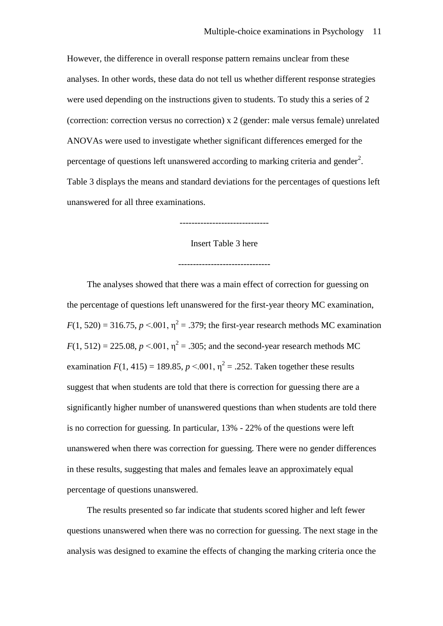However, the difference in overall response pattern remains unclear from these analyses. In other words, these data do not tell us whether different response strategies were used depending on the instructions given to students. To study this a series of 2 (correction: correction versus no correction) x 2 (gender: male versus female) unrelated ANOVAs were used to investigate whether significant differences emerged for the percentage of questions left unanswered according to marking criteria and gender<sup>2</sup>. Table 3 displays the means and standard deviations for the percentages of questions left unanswered for all three examinations.

------------------------------

Insert Table 3 here

-------------------------------

The analyses showed that there was a main effect of correction for guessing on the percentage of questions left unanswered for the first-year theory MC examination,  $F(1, 520) = 316.75$ ,  $p < 0.01$ ,  $\eta^2 = .379$ ; the first-year research methods MC examination  $F(1, 512) = 225.08, p < 0.001, \eta^2 = .305$ ; and the second-year research methods MC examination  $F(1, 415) = 189.85$ ,  $p < 0.01$ ,  $\eta^2 = .252$ . Taken together these results suggest that when students are told that there is correction for guessing there are a significantly higher number of unanswered questions than when students are told there is no correction for guessing. In particular, 13% - 22% of the questions were left unanswered when there was correction for guessing. There were no gender differences in these results, suggesting that males and females leave an approximately equal percentage of questions unanswered.

The results presented so far indicate that students scored higher and left fewer questions unanswered when there was no correction for guessing. The next stage in the analysis was designed to examine the effects of changing the marking criteria once the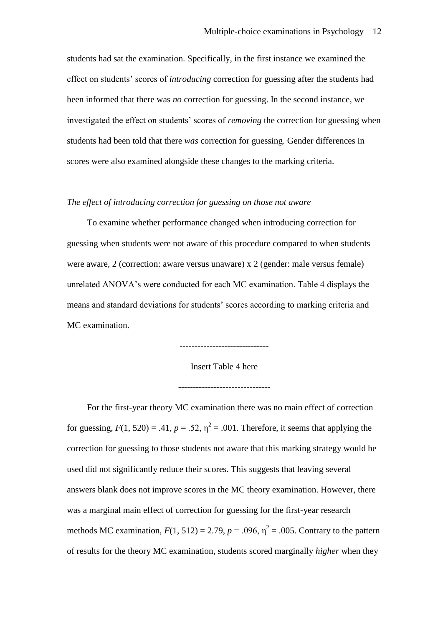students had sat the examination. Specifically, in the first instance we examined the effect on students' scores of *introducing* correction for guessing after the students had been informed that there was *no* correction for guessing. In the second instance, we investigated the effect on students' scores of *removing* the correction for guessing when students had been told that there *was* correction for guessing. Gender differences in scores were also examined alongside these changes to the marking criteria.

#### *The effect of introducing correction for guessing on those not aware*

To examine whether performance changed when introducing correction for guessing when students were not aware of this procedure compared to when students were aware, 2 (correction: aware versus unaware) x 2 (gender: male versus female) unrelated ANOVA's were conducted for each MC examination. Table 4 displays the means and standard deviations for students' scores according to marking criteria and MC examination.

> ------------------------------ Insert Table 4 here

-------------------------------

For the first-year theory MC examination there was no main effect of correction for guessing,  $F(1, 520) = .41$ ,  $p = .52$ ,  $\eta^2 = .001$ . Therefore, it seems that applying the correction for guessing to those students not aware that this marking strategy would be used did not significantly reduce their scores. This suggests that leaving several answers blank does not improve scores in the MC theory examination. However, there was a marginal main effect of correction for guessing for the first-year research methods MC examination,  $F(1, 512) = 2.79$ ,  $p = .096$ ,  $\eta^2 = .005$ . Contrary to the pattern of results for the theory MC examination, students scored marginally *higher* when they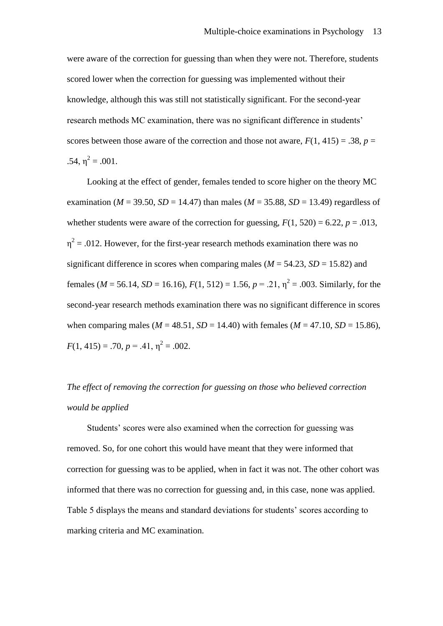were aware of the correction for guessing than when they were not. Therefore, students scored lower when the correction for guessing was implemented without their knowledge, although this was still not statistically significant. For the second-year research methods MC examination, there was no significant difference in students' scores between those aware of the correction and those not aware,  $F(1, 415) = .38$ ,  $p =$ .54,  $\eta^2 = .001$ .

Looking at the effect of gender, females tended to score higher on the theory MC examination ( $M = 39.50$ ,  $SD = 14.47$ ) than males ( $M = 35.88$ ,  $SD = 13.49$ ) regardless of whether students were aware of the correction for guessing,  $F(1, 520) = 6.22$ ,  $p = .013$ ,  $\eta^2$  = .012. However, for the first-year research methods examination there was no significant difference in scores when comparing males ( $M = 54.23$ ,  $SD = 15.82$ ) and females ( $M = 56.14$ ,  $SD = 16.16$ ),  $F(1, 512) = 1.56$ ,  $p = .21$ ,  $\eta^2 = .003$ . Similarly, for the second-year research methods examination there was no significant difference in scores when comparing males ( $M = 48.51$ ,  $SD = 14.40$ ) with females ( $M = 47.10$ ,  $SD = 15.86$ ),  $F(1, 415) = .70, p = .41, \eta^2 = .002.$ 

# *The effect of removing the correction for guessing on those who believed correction would be applied*

Students' scores were also examined when the correction for guessing was removed. So, for one cohort this would have meant that they were informed that correction for guessing was to be applied, when in fact it was not. The other cohort was informed that there was no correction for guessing and, in this case, none was applied. Table 5 displays the means and standard deviations for students' scores according to marking criteria and MC examination.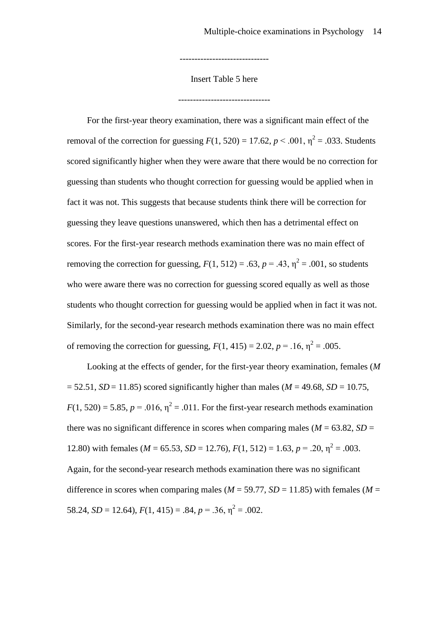Insert Table 5 here

-------------------------------

------------------------------

For the first-year theory examination, there was a significant main effect of the removal of the correction for guessing  $F(1, 520) = 17.62$ ,  $p < .001$ ,  $\eta^2 = .033$ . Students scored significantly higher when they were aware that there would be no correction for guessing than students who thought correction for guessing would be applied when in fact it was not. This suggests that because students think there will be correction for guessing they leave questions unanswered, which then has a detrimental effect on scores. For the first-year research methods examination there was no main effect of removing the correction for guessing,  $F(1, 512) = .63$ ,  $p = .43$ ,  $\eta^2 = .001$ , so students who were aware there was no correction for guessing scored equally as well as those students who thought correction for guessing would be applied when in fact it was not. Similarly, for the second-year research methods examination there was no main effect of removing the correction for guessing,  $F(1, 415) = 2.02$ ,  $p = .16$ ,  $\eta^2 = .005$ .

Looking at the effects of gender, for the first-year theory examination, females (*M*  $= 52.51, SD = 11.85$ ) scored significantly higher than males ( $M = 49.68$ ,  $SD = 10.75$ ,  $F(1, 520) = 5.85$ ,  $p = .016$ ,  $\eta^2 = .011$ . For the first-year research methods examination there was no significant difference in scores when comparing males ( $M = 63.82$ ,  $SD =$ 12.80) with females ( $M = 65.53$ ,  $SD = 12.76$ ),  $F(1, 512) = 1.63$ ,  $p = .20$ ,  $\eta^2 = .003$ . Again, for the second-year research methods examination there was no significant difference in scores when comparing males ( $M = 59.77$ ,  $SD = 11.85$ ) with females ( $M =$ 58.24,  $SD = 12.64$ ),  $F(1, 415) = .84$ ,  $p = .36$ ,  $\eta^2 = .002$ .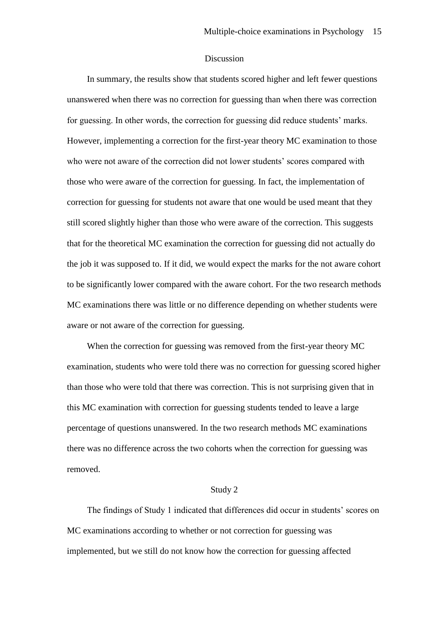#### Discussion

In summary, the results show that students scored higher and left fewer questions unanswered when there was no correction for guessing than when there was correction for guessing. In other words, the correction for guessing did reduce students' marks. However, implementing a correction for the first-year theory MC examination to those who were not aware of the correction did not lower students' scores compared with those who were aware of the correction for guessing. In fact, the implementation of correction for guessing for students not aware that one would be used meant that they still scored slightly higher than those who were aware of the correction. This suggests that for the theoretical MC examination the correction for guessing did not actually do the job it was supposed to. If it did, we would expect the marks for the not aware cohort to be significantly lower compared with the aware cohort. For the two research methods MC examinations there was little or no difference depending on whether students were aware or not aware of the correction for guessing.

When the correction for guessing was removed from the first-year theory MC examination, students who were told there was no correction for guessing scored higher than those who were told that there was correction. This is not surprising given that in this MC examination with correction for guessing students tended to leave a large percentage of questions unanswered. In the two research methods MC examinations there was no difference across the two cohorts when the correction for guessing was removed.

#### Study 2

The findings of Study 1 indicated that differences did occur in students' scores on MC examinations according to whether or not correction for guessing was implemented, but we still do not know how the correction for guessing affected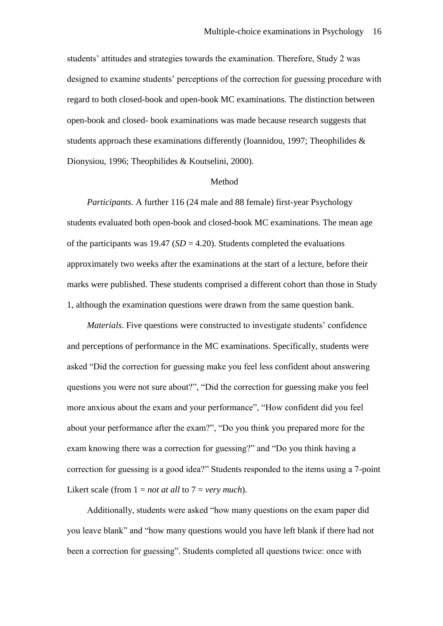students' attitudes and strategies towards the examination. Therefore, Study 2 was designed to examine students' perceptions of the correction for guessing procedure with regard to both closed-book and open-book MC examinations. The distinction between open-book and closed- book examinations was made because research suggests that students approach these examinations differently (Ioannidou, 1997; Theophilides & Dionysiou, 1996; Theophilides & Koutselini, 2000).

#### Method

*Participants.* A further 116 (24 male and 88 female) first-year Psychology students evaluated both open-book and closed-book MC examinations. The mean age of the participants was  $19.47$  (*SD* = 4.20). Students completed the evaluations approximately two weeks after the examinations at the start of a lecture, before their marks were published. These students comprised a different cohort than those in Study 1, although the examination questions were drawn from the same question bank.

*Materials*. Five questions were constructed to investigate students' confidence and perceptions of performance in the MC examinations. Specifically, students were asked "Did the correction for guessing make you feel less confident about answering questions you were not sure about?", "Did the correction for guessing make you feel more anxious about the exam and your performance", "How confident did you feel about your performance after the exam?", "Do you think you prepared more for the exam knowing there was a correction for guessing?" and "Do you think having a correction for guessing is a good idea?" Students responded to the items using a 7-point Likert scale (from  $1 = not$  *at all* to  $7 = very$  *much*).

Additionally, students were asked "how many questions on the exam paper did you leave blank" and "how many questions would you have left blank if there had not been a correction for guessing". Students completed all questions twice: once with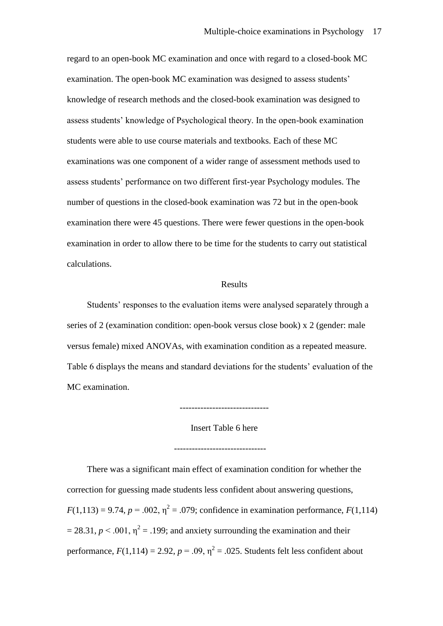regard to an open-book MC examination and once with regard to a closed-book MC examination. The open-book MC examination was designed to assess students' knowledge of research methods and the closed-book examination was designed to assess students' knowledge of Psychological theory. In the open-book examination students were able to use course materials and textbooks. Each of these MC examinations was one component of a wider range of assessment methods used to assess students' performance on two different first-year Psychology modules. The number of questions in the closed-book examination was 72 but in the open-book examination there were 45 questions. There were fewer questions in the open-book examination in order to allow there to be time for the students to carry out statistical calculations.

#### Results

Students' responses to the evaluation items were analysed separately through a series of 2 (examination condition: open-book versus close book) x 2 (gender: male versus female) mixed ANOVAs, with examination condition as a repeated measure. Table 6 displays the means and standard deviations for the students' evaluation of the MC examination.

------------------------------

Insert Table 6 here

-------------------------------

There was a significant main effect of examination condition for whether the correction for guessing made students less confident about answering questions,  $F(1,113) = 9.74$ ,  $p = 0.002$ ,  $\eta^2 = 0.079$ ; confidence in examination performance,  $F(1,114)$  $= 28.31, p < .001, \eta^2 = .199$ ; and anxiety surrounding the examination and their performance,  $F(1,114) = 2.92$ ,  $p = .09$ ,  $\eta^2 = .025$ . Students felt less confident about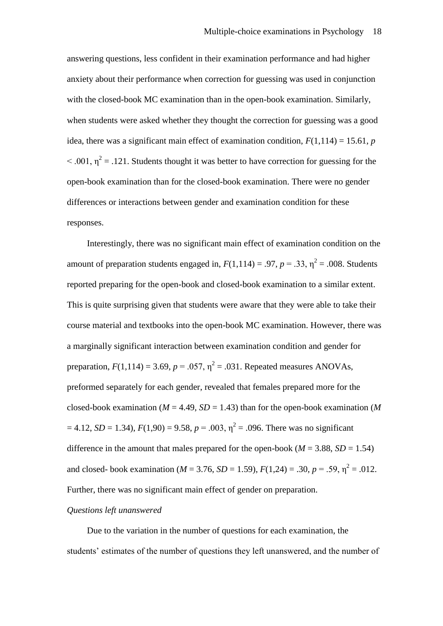answering questions, less confident in their examination performance and had higher anxiety about their performance when correction for guessing was used in conjunction with the closed-book MC examination than in the open-book examination. Similarly, when students were asked whether they thought the correction for guessing was a good idea, there was a significant main effect of examination condition,  $F(1,114) = 15.61$ , *p*  $< .001$ ,  $\eta^2 = .121$ . Students thought it was better to have correction for guessing for the open-book examination than for the closed-book examination. There were no gender differences or interactions between gender and examination condition for these responses.

Interestingly, there was no significant main effect of examination condition on the amount of preparation students engaged in,  $F(1,114) = .97$ ,  $p = .33$ ,  $\eta^2 = .008$ . Students reported preparing for the open-book and closed-book examination to a similar extent. This is quite surprising given that students were aware that they were able to take their course material and textbooks into the open-book MC examination. However, there was a marginally significant interaction between examination condition and gender for preparation,  $F(1,114) = 3.69$ ,  $p = .057$ ,  $\eta^2 = .031$ . Repeated measures ANOVAs, preformed separately for each gender, revealed that females prepared more for the closed-book examination ( $M = 4.49$ ,  $SD = 1.43$ ) than for the open-book examination ( $M$  $= 4.12$ , *SD* = 1.34),  $F(1,90) = 9.58$ ,  $p = .003$ ,  $\eta^2 = .096$ . There was no significant difference in the amount that males prepared for the open-book ( $M = 3.88$ ,  $SD = 1.54$ ) and closed- book examination ( $M = 3.76$ ,  $SD = 1.59$ ),  $F(1,24) = .30$ ,  $p = .59$ ,  $\eta^2 = .012$ . Further, there was no significant main effect of gender on preparation.

## *Questions left unanswered*

Due to the variation in the number of questions for each examination, the students' estimates of the number of questions they left unanswered, and the number of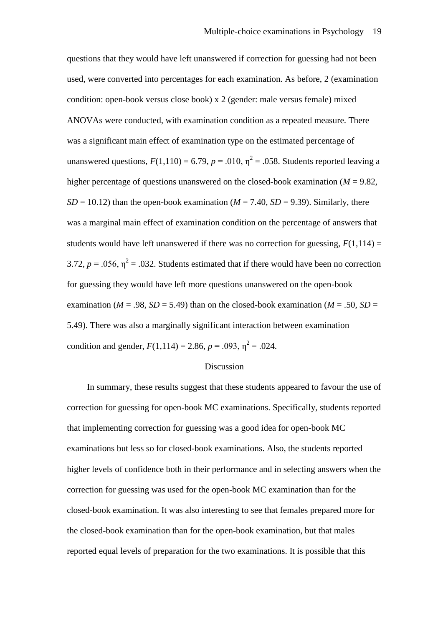questions that they would have left unanswered if correction for guessing had not been used, were converted into percentages for each examination. As before, 2 (examination condition: open-book versus close book) x 2 (gender: male versus female) mixed ANOVAs were conducted, with examination condition as a repeated measure. There was a significant main effect of examination type on the estimated percentage of unanswered questions,  $F(1,110) = 6.79$ ,  $p = .010$ ,  $\eta^2 = .058$ . Students reported leaving a higher percentage of questions unanswered on the closed-book examination ( $M = 9.82$ ,  $SD = 10.12$ ) than the open-book examination ( $M = 7.40$ ,  $SD = 9.39$ ). Similarly, there was a marginal main effect of examination condition on the percentage of answers that students would have left unanswered if there was no correction for guessing,  $F(1,114) =$ 3.72,  $p = 0.056$ ,  $\eta^2 = 0.032$ . Students estimated that if there would have been no correction for guessing they would have left more questions unanswered on the open-book examination ( $M = .98$ ,  $SD = 5.49$ ) than on the closed-book examination ( $M = .50$ ,  $SD =$ 5.49). There was also a marginally significant interaction between examination condition and gender,  $F(1,114) = 2.86$ ,  $p = .093$ ,  $\eta^2 = .024$ .

#### Discussion

In summary, these results suggest that these students appeared to favour the use of correction for guessing for open-book MC examinations. Specifically, students reported that implementing correction for guessing was a good idea for open-book MC examinations but less so for closed-book examinations. Also, the students reported higher levels of confidence both in their performance and in selecting answers when the correction for guessing was used for the open-book MC examination than for the closed-book examination. It was also interesting to see that females prepared more for the closed-book examination than for the open-book examination, but that males reported equal levels of preparation for the two examinations. It is possible that this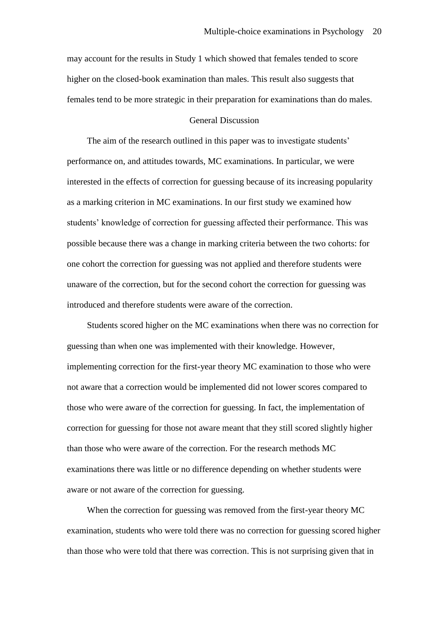may account for the results in Study 1 which showed that females tended to score higher on the closed-book examination than males. This result also suggests that females tend to be more strategic in their preparation for examinations than do males.

# General Discussion

The aim of the research outlined in this paper was to investigate students' performance on, and attitudes towards, MC examinations. In particular, we were interested in the effects of correction for guessing because of its increasing popularity as a marking criterion in MC examinations. In our first study we examined how students' knowledge of correction for guessing affected their performance. This was possible because there was a change in marking criteria between the two cohorts: for one cohort the correction for guessing was not applied and therefore students were unaware of the correction, but for the second cohort the correction for guessing was introduced and therefore students were aware of the correction.

Students scored higher on the MC examinations when there was no correction for guessing than when one was implemented with their knowledge. However, implementing correction for the first-year theory MC examination to those who were not aware that a correction would be implemented did not lower scores compared to those who were aware of the correction for guessing. In fact, the implementation of correction for guessing for those not aware meant that they still scored slightly higher than those who were aware of the correction. For the research methods MC examinations there was little or no difference depending on whether students were aware or not aware of the correction for guessing.

When the correction for guessing was removed from the first-year theory MC examination, students who were told there was no correction for guessing scored higher than those who were told that there was correction. This is not surprising given that in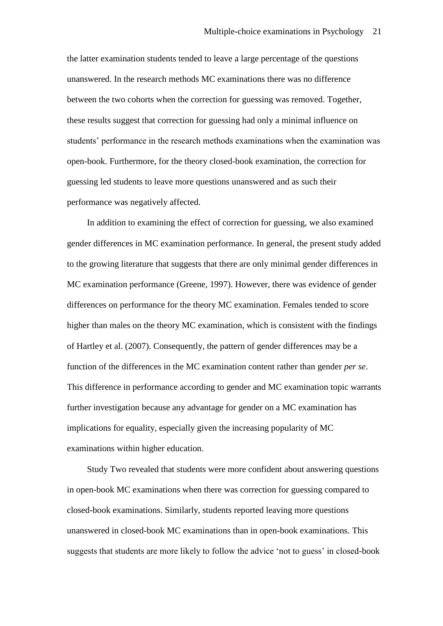the latter examination students tended to leave a large percentage of the questions unanswered. In the research methods MC examinations there was no difference between the two cohorts when the correction for guessing was removed. Together, these results suggest that correction for guessing had only a minimal influence on students' performance in the research methods examinations when the examination was open-book. Furthermore, for the theory closed-book examination, the correction for guessing led students to leave more questions unanswered and as such their performance was negatively affected.

In addition to examining the effect of correction for guessing, we also examined gender differences in MC examination performance. In general, the present study added to the growing literature that suggests that there are only minimal gender differences in MC examination performance (Greene, 1997). However, there was evidence of gender differences on performance for the theory MC examination. Females tended to score higher than males on the theory MC examination, which is consistent with the findings of Hartley et al. (2007). Consequently, the pattern of gender differences may be a function of the differences in the MC examination content rather than gender *per se*. This difference in performance according to gender and MC examination topic warrants further investigation because any advantage for gender on a MC examination has implications for equality, especially given the increasing popularity of MC examinations within higher education.

Study Two revealed that students were more confident about answering questions in open-book MC examinations when there was correction for guessing compared to closed-book examinations. Similarly, students reported leaving more questions unanswered in closed-book MC examinations than in open-book examinations. This suggests that students are more likely to follow the advice 'not to guess' in closed-book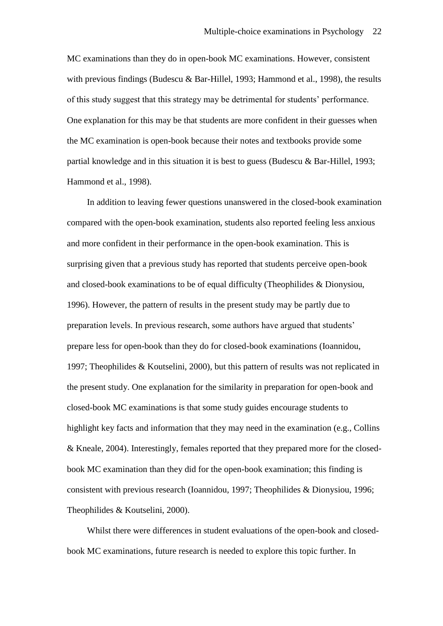MC examinations than they do in open-book MC examinations. However, consistent with previous findings (Budescu & Bar-Hillel, 1993; Hammond et al., 1998), the results of this study suggest that this strategy may be detrimental for students' performance. One explanation for this may be that students are more confident in their guesses when the MC examination is open-book because their notes and textbooks provide some partial knowledge and in this situation it is best to guess (Budescu & Bar-Hillel, 1993; Hammond et al., 1998).

In addition to leaving fewer questions unanswered in the closed-book examination compared with the open-book examination, students also reported feeling less anxious and more confident in their performance in the open-book examination. This is surprising given that a previous study has reported that students perceive open-book and closed-book examinations to be of equal difficulty (Theophilides & Dionysiou, 1996). However, the pattern of results in the present study may be partly due to preparation levels. In previous research, some authors have argued that students' prepare less for open-book than they do for closed-book examinations (Ioannidou, 1997; Theophilides & Koutselini, 2000), but this pattern of results was not replicated in the present study. One explanation for the similarity in preparation for open-book and closed-book MC examinations is that some study guides encourage students to highlight key facts and information that they may need in the examination (e.g., Collins & Kneale, 2004). Interestingly, females reported that they prepared more for the closedbook MC examination than they did for the open-book examination; this finding is consistent with previous research (Ioannidou, 1997; Theophilides & Dionysiou, 1996; Theophilides & Koutselini, 2000).

Whilst there were differences in student evaluations of the open-book and closedbook MC examinations, future research is needed to explore this topic further. In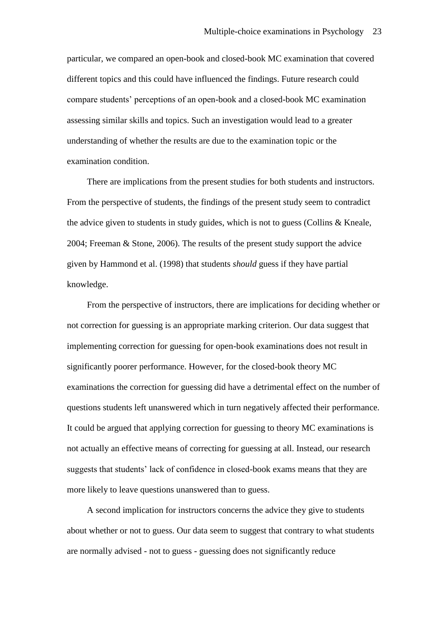particular, we compared an open-book and closed-book MC examination that covered different topics and this could have influenced the findings. Future research could compare students' perceptions of an open-book and a closed-book MC examination assessing similar skills and topics. Such an investigation would lead to a greater understanding of whether the results are due to the examination topic or the examination condition.

There are implications from the present studies for both students and instructors. From the perspective of students, the findings of the present study seem to contradict the advice given to students in study guides, which is not to guess (Collins & Kneale, 2004; Freeman & Stone, 2006). The results of the present study support the advice given by Hammond et al. (1998) that students *should* guess if they have partial knowledge.

From the perspective of instructors, there are implications for deciding whether or not correction for guessing is an appropriate marking criterion. Our data suggest that implementing correction for guessing for open-book examinations does not result in significantly poorer performance. However, for the closed-book theory MC examinations the correction for guessing did have a detrimental effect on the number of questions students left unanswered which in turn negatively affected their performance. It could be argued that applying correction for guessing to theory MC examinations is not actually an effective means of correcting for guessing at all. Instead, our research suggests that students' lack of confidence in closed-book exams means that they are more likely to leave questions unanswered than to guess.

A second implication for instructors concerns the advice they give to students about whether or not to guess. Our data seem to suggest that contrary to what students are normally advised - not to guess - guessing does not significantly reduce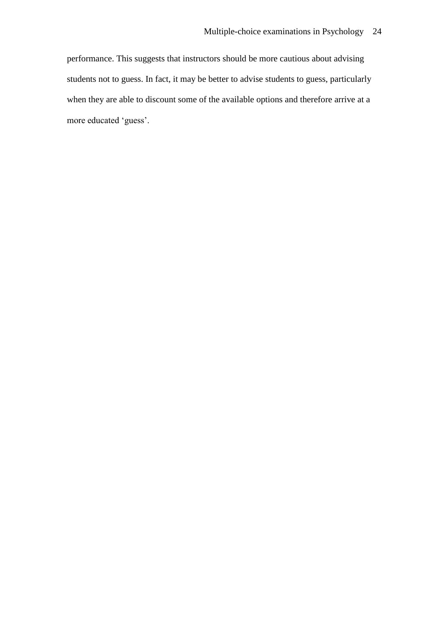performance. This suggests that instructors should be more cautious about advising students not to guess. In fact, it may be better to advise students to guess, particularly when they are able to discount some of the available options and therefore arrive at a more educated 'guess'.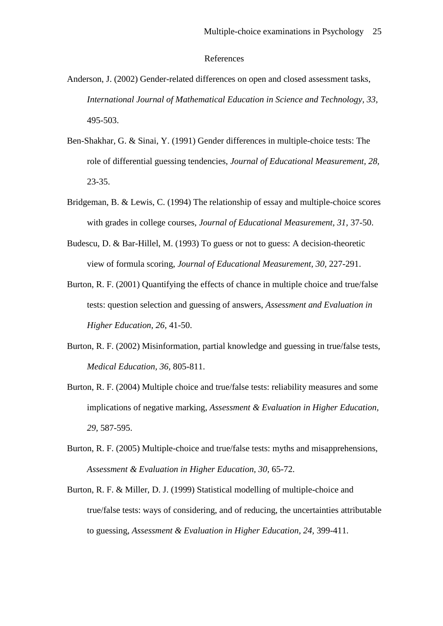#### References

- Anderson, J. (2002) Gender-related differences on open and closed assessment tasks, *International Journal of Mathematical Education in Science and Technology, 33,*  495-503.
- Ben-Shakhar, G. & Sinai, Y. (1991) Gender differences in multiple-choice tests: The role of differential guessing tendencies, *Journal of Educational Measurement, 28,*  23-35.
- Bridgeman, B. & Lewis, C. (1994) The relationship of essay and multiple-choice scores with grades in college courses, *Journal of Educational Measurement, 31,* 37-50.
- Budescu, D. & Bar-Hillel, M. (1993) To guess or not to guess: A decision-theoretic view of formula scoring, *Journal of Educational Measurement, 30,* 227-291.
- Burton, R. F. (2001) Quantifying the effects of chance in multiple choice and true/false tests: question selection and guessing of answers, *Assessment and Evaluation in Higher Education, 26,* 41-50.
- Burton, R. F. (2002) Misinformation, partial knowledge and guessing in true/false tests, *Medical Education, 36,* 805-811.
- Burton, R. F. (2004) Multiple choice and true/false tests: reliability measures and some implications of negative marking, *Assessment & Evaluation in Higher Education, 29,* 587-595.
- Burton, R. F. (2005) Multiple-choice and true/false tests: myths and misapprehensions, *Assessment & Evaluation in Higher Education, 30,* 65-72.
- Burton, R. F. & Miller, D. J. (1999) Statistical modelling of multiple-choice and true/false tests: ways of considering, and of reducing, the uncertainties attributable to guessing, *Assessment & Evaluation in Higher Education, 24,* 399-411.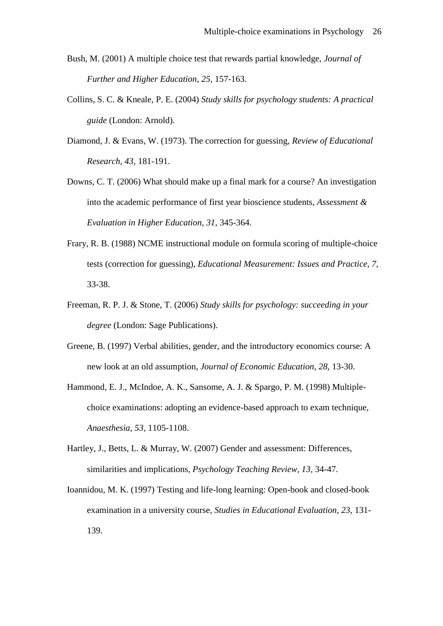- Bush, M. (2001) A multiple choice test that rewards partial knowledge, *Journal of Further and Higher Education, 25,* 157-163.
- Collins, S. C. & Kneale, P. E. (2004) *Study skills for psychology students: A practical guide* (London: Arnold).
- Diamond, J. & Evans, W. (1973). The correction for guessing, *Review of Educational Research, 43,* 181-191.
- Downs, C. T. (2006) What should make up a final mark for a course? An investigation into the academic performance of first year bioscience students, *Assessment & Evaluation in Higher Education, 31,* 345-364.
- Frary, R. B. (1988) NCME instructional module on formula scoring of multiple-choice tests (correction for guessing), *Educational Measurement: Issues and Practice, 7,*  33-38.
- Freeman, R. P. J. & Stone, T. (2006) *Study skills for psychology: succeeding in your degree* (London: Sage Publications).
- Greene, B. (1997) Verbal abilities, gender, and the introductory economics course: A new look at an old assumption, *Journal of Economic Education, 28,* 13-30.
- Hammond, E. J., McIndoe, A. K., Sansome, A. J. & Spargo, P. M. (1998) Multiplechoice examinations: adopting an evidence-based approach to exam technique, *Anaesthesia, 53,* 1105-1108.
- Hartley, J., Betts, L. & Murray, W. (2007) Gender and assessment: Differences, similarities and implications, *Psychology Teaching Review, 13,* 34-47.
- Ioannidou, M. K. (1997) Testing and life-long learning: Open-book and closed-book examination in a university course, *Studies in Educational Evaluation, 23,* 131- 139.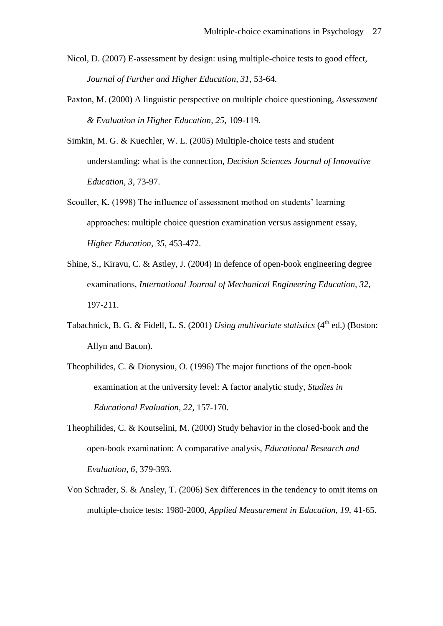- Nicol, D. (2007) E-assessment by design: using multiple-choice tests to good effect, *Journal of Further and Higher Education, 31,* 53-64.
- Paxton, M. (2000) A linguistic perspective on multiple choice questioning, *Assessment & Evaluation in Higher Education, 25,* 109-119.
- Simkin, M. G. & Kuechler, W. L. (2005) Multiple-choice tests and student understanding: what is the connection, *Decision Sciences Journal of Innovative Education, 3,* 73-97.
- Scouller, K. (1998) The influence of assessment method on students' learning approaches: multiple choice question examination versus assignment essay, *Higher Education, 35,* 453-472.
- Shine, S., Kiravu, C. & Astley, J. (2004) In defence of open-book engineering degree examinations, *International Journal of Mechanical Engineering Education, 32,*  197-211.
- Tabachnick, B. G. & Fidell, L. S. (2001) *Using multivariate statistics* (4<sup>th</sup> ed.) (Boston: Allyn and Bacon).
- Theophilides, C. & Dionysiou, O. (1996) The major functions of the open-book examination at the university level: A factor analytic study, *Studies in Educational Evaluation, 22,* 157-170.
- Theophilides, C. & Koutselini, M. (2000) Study behavior in the closed-book and the open-book examination: A comparative analysis, *Educational Research and Evaluation, 6,* 379-393.
- Von Schrader, S. & Ansley, T. (2006) Sex differences in the tendency to omit items on multiple-choice tests: 1980-2000, *Applied Measurement in Education, 19,* 41-65.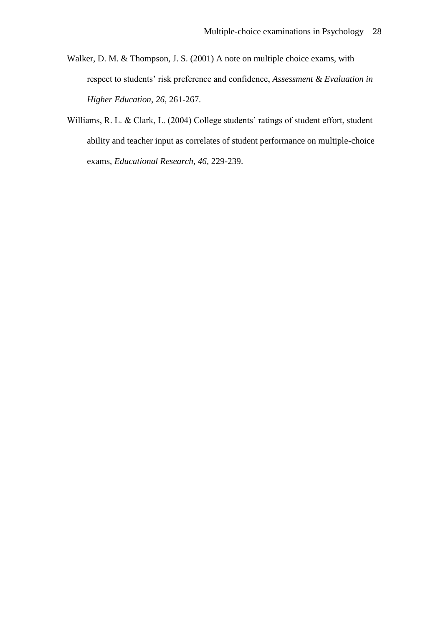- Walker, D. M. & Thompson, J. S. (2001) A note on multiple choice exams, with respect to students' risk preference and confidence, *Assessment & Evaluation in Higher Education, 26,* 261-267.
- Williams, R. L. & Clark, L. (2004) College students' ratings of student effort, student ability and teacher input as correlates of student performance on multiple-choice exams, *Educational Research, 46,* 229-239.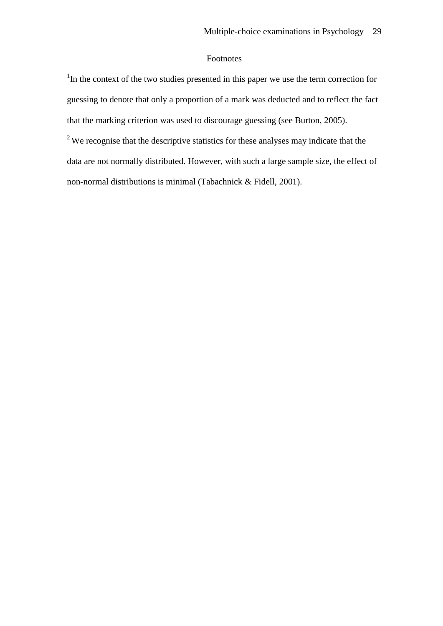# Footnotes

<sup>1</sup>In the context of the two studies presented in this paper we use the term correction for guessing to denote that only a proportion of a mark was deducted and to reflect the fact that the marking criterion was used to discourage guessing (see Burton, 2005).

<sup>2</sup>We recognise that the descriptive statistics for these analyses may indicate that the data are not normally distributed. However, with such a large sample size, the effect of non-normal distributions is minimal (Tabachnick & Fidell, 2001).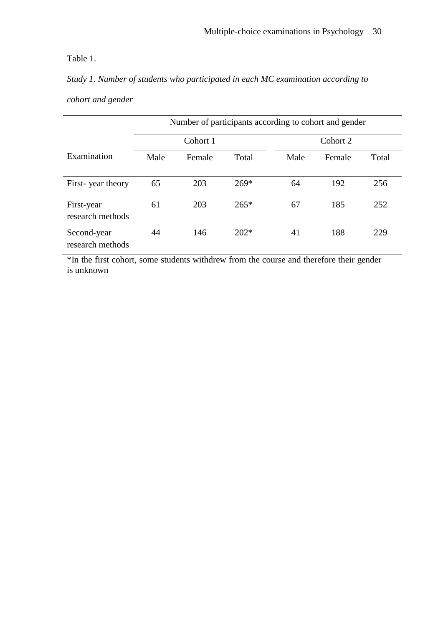# Table 1.

*Study 1. Number of students who participated in each MC examination according to cohort and gender* 

|                                 | Number of participants according to cohort and gender |        |          |      |        |       |
|---------------------------------|-------------------------------------------------------|--------|----------|------|--------|-------|
|                                 | Cohort 1                                              |        | Cohort 2 |      |        |       |
| Examination                     | Male                                                  | Female | Total    | Male | Female | Total |
| First-year theory               | 65                                                    | 203    | $269*$   | 64   | 192    | 256   |
| First-year<br>research methods  | 61                                                    | 203    | $265*$   | 67   | 185    | 252   |
| Second-year<br>research methods | 44                                                    | 146    | $202*$   | 41   | 188    | 229   |

\*In the first cohort, some students withdrew from the course and therefore their gender is unknown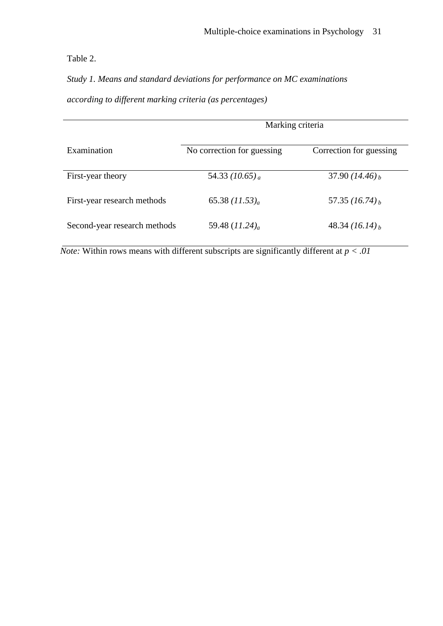Table 2.

*Study 1. Means and standard deviations for performance on MC examinations according to different marking criteria (as percentages)*

|                              | Marking criteria             |                              |  |  |
|------------------------------|------------------------------|------------------------------|--|--|
| Examination                  | No correction for guessing   | Correction for guessing      |  |  |
| First-year theory            | 54.33 (10.65) <sub>a</sub>   | 37.90 $(14.46)$ <sub>b</sub> |  |  |
| First-year research methods  | 65.38 $(11.53)_{a}$          | 57.35 $(16.74)_b$            |  |  |
| Second-year research methods | 59.48 $(11.24)$ <sub>a</sub> | 48.34 $(16.14)_b$            |  |  |

*Note:* Within rows means with different subscripts are significantly different at  $p < .01$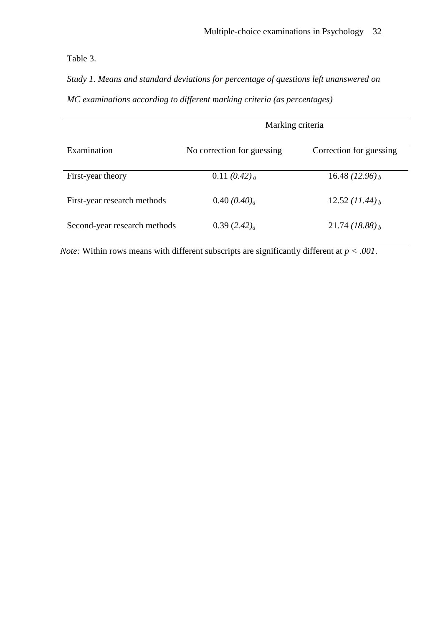Table 3.

*Study 1. Means and standard deviations for percentage of questions left unanswered on MC examinations according to different marking criteria (as percentages)* 

|                              | Marking criteria           |                              |  |
|------------------------------|----------------------------|------------------------------|--|
|                              |                            |                              |  |
| Examination                  | No correction for guessing | Correction for guessing      |  |
|                              |                            |                              |  |
| First-year theory            | 0.11 $(0.42)$ <sub>a</sub> | 16.48 $(12.96)_b$            |  |
|                              |                            |                              |  |
| First-year research methods  | 0.40 $(0.40)$ <sub>a</sub> | 12.52 $(11.44)_b$            |  |
|                              |                            |                              |  |
| Second-year research methods | 0.39(2.42) <sub>a</sub>    | $21.74 (18.88)$ <sub>b</sub> |  |
|                              |                            |                              |  |

*Note:* Within rows means with different subscripts are significantly different at  $p < .001$ .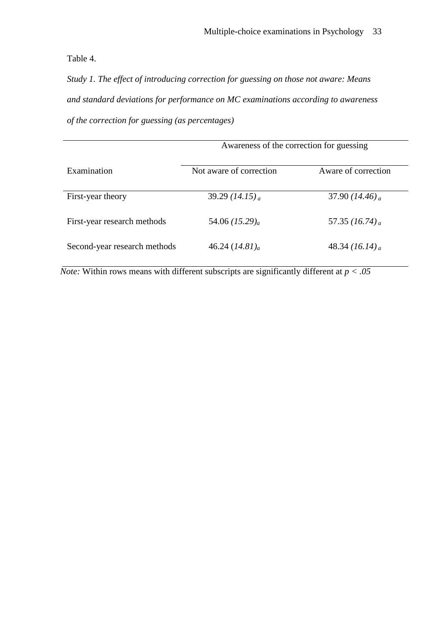Table 4.

*Study 1. The effect of introducing correction for guessing on those not aware: Means and standard deviations for performance on MC examinations according to awareness of the correction for guessing (as percentages)*

|                              | Awareness of the correction for guessing |                              |  |
|------------------------------|------------------------------------------|------------------------------|--|
| Examination                  | Not aware of correction                  | Aware of correction          |  |
| First-year theory            | 39.29 $(14.15)$ <sub>a</sub>             | 37.90 (14.46) <sub>a</sub>   |  |
| First-year research methods  | 54.06 $(15.29)a$                         | 57.35 $(16.74)$ <sub>a</sub> |  |
| Second-year research methods | 46.24 $(14.81)_{a}$                      | 48.34 $(16.14)$ <sub>a</sub> |  |

*Note:* Within rows means with different subscripts are significantly different at  $p < .05$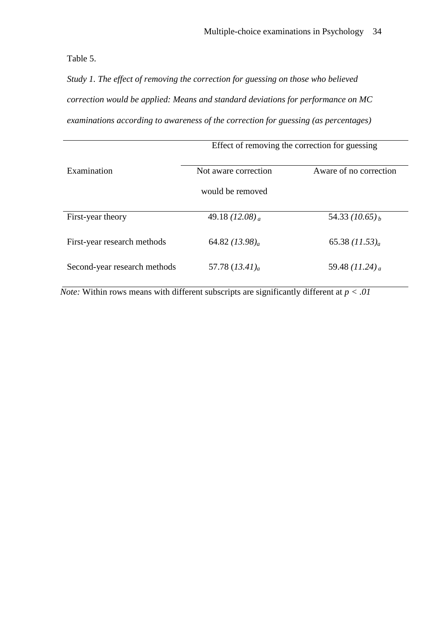Table 5.

*Study 1. The effect of removing the correction for guessing on those who believed correction would be applied: Means and standard deviations for performance on MC examinations according to awareness of the correction for guessing (as percentages)*

|                              | Effect of removing the correction for guessing |                              |  |  |
|------------------------------|------------------------------------------------|------------------------------|--|--|
| Examination                  | Not aware correction                           | Aware of no correction       |  |  |
|                              | would be removed                               |                              |  |  |
| First-year theory            | 49.18 $(12.08)$ <sub>a</sub>                   | 54.33 $(10.65)_b$            |  |  |
| First-year research methods  | 64.82 $(13.98)$ <sub>a</sub>                   | 65.38 $(11.53)a$             |  |  |
| Second-year research methods | 57.78 $(13.41)$ <sub>a</sub>                   | 59.48 $(11.24)$ <sub>a</sub> |  |  |

*Note:* Within rows means with different subscripts are significantly different at  $p < .01$